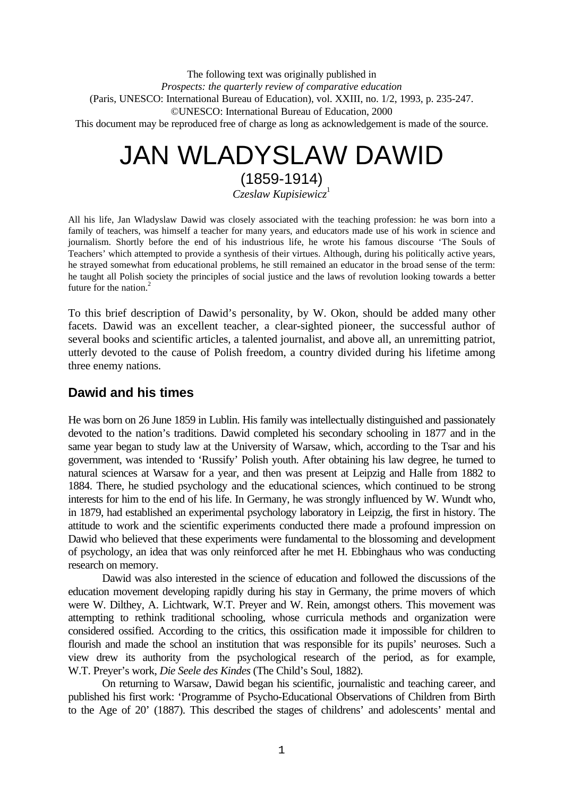The following text was originally published in *Prospects: the quarterly review of comparative education* (Paris, UNESCO: International Bureau of Education), vol. XXIII, no. 1/2, 1993, p. 235-247. ©UNESCO: International Bureau of Education, 2000 This document may be reproduced free of charge as long as acknowledgement is made of the source.

# JAN WLADYSLAW DAWID

# (1859-1914)

*Czeslaw Kupisiewicz*<sup>1</sup>

All his life, Jan Wladyslaw Dawid was closely associated with the teaching profession: he was born into a family of teachers, was himself a teacher for many years, and educators made use of his work in science and journalism. Shortly before the end of his industrious life, he wrote his famous discourse 'The Souls of Teachers' which attempted to provide a synthesis of their virtues. Although, during his politically active years, he strayed somewhat from educational problems, he still remained an educator in the broad sense of the term: he taught all Polish society the principles of social justice and the laws of revolution looking towards a better future for the nation.<sup>2</sup>

To this brief description of Dawid's personality, by W. Okon, should be added many other facets. Dawid was an excellent teacher, a clear-sighted pioneer, the successful author of several books and scientific articles, a talented journalist, and above all, an unremitting patriot, utterly devoted to the cause of Polish freedom, a country divided during his lifetime among three enemy nations.

# **Dawid and his times**

He was born on 26 June 1859 in Lublin. His family was intellectually distinguished and passionately devoted to the nation's traditions. Dawid completed his secondary schooling in 1877 and in the same year began to study law at the University of Warsaw, which, according to the Tsar and his government, was intended to 'Russify' Polish youth. After obtaining his law degree, he turned to natural sciences at Warsaw for a year, and then was present at Leipzig and Halle from 1882 to 1884. There, he studied psychology and the educational sciences, which continued to be strong interests for him to the end of his life. In Germany, he was strongly influenced by W. Wundt who, in 1879, had established an experimental psychology laboratory in Leipzig, the first in history. The attitude to work and the scientific experiments conducted there made a profound impression on Dawid who believed that these experiments were fundamental to the blossoming and development of psychology, an idea that was only reinforced after he met H. Ebbinghaus who was conducting research on memory.

Dawid was also interested in the science of education and followed the discussions of the education movement developing rapidly during his stay in Germany, the prime movers of which were W. Dilthey, A. Lichtwark, W.T. Preyer and W. Rein, amongst others. This movement was attempting to rethink traditional schooling, whose curricula methods and organization were considered ossified. According to the critics, this ossification made it impossible for children to flourish and made the school an institution that was responsible for its pupils' neuroses. Such a view drew its authority from the psychological research of the period, as for example, W.T. Preyer's work, *Die Seele des Kindes* (The Child's Soul, 1882).

On returning to Warsaw, Dawid began his scientific, journalistic and teaching career, and published his first work: 'Programme of Psycho-Educational Observations of Children from Birth to the Age of 20' (1887). This described the stages of childrens' and adolescents' mental and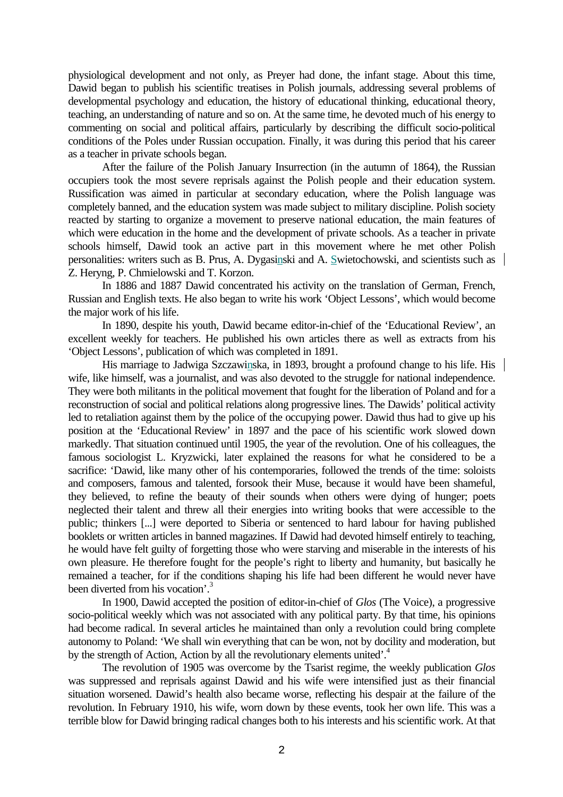physiological development and not only, as Preyer had done, the infant stage. About this time, Dawid began to publish his scientific treatises in Polish journals, addressing several problems of developmental psychology and education, the history of educational thinking, educational theory, teaching, an understanding of nature and so on. At the same time, he devoted much of his energy to commenting on social and political affairs, particularly by describing the difficult socio-political conditions of the Poles under Russian occupation. Finally, it was during this period that his career as a teacher in private schools began.

After the failure of the Polish January Insurrection (in the autumn of 1864), the Russian occupiers took the most severe reprisals against the Polish people and their education system. Russification was aimed in particular at secondary education, where the Polish language was completely banned, and the education system was made subject to military discipline. Polish society reacted by starting to organize a movement to preserve national education, the main features of which were education in the home and the development of private schools. As a teacher in private schools himself, Dawid took an active part in this movement where he met other Polish personalities: writers such as B. Prus, A. Dygasinski and A. Swietochowski, and scientists such as Z. Heryng, P. Chmielowski and T. Korzon.

In 1886 and 1887 Dawid concentrated his activity on the translation of German, French, Russian and English texts. He also began to write his work 'Object Lessons', which would become the major work of his life.

In 1890, despite his youth, Dawid became editor-in-chief of the 'Educational Review', an excellent weekly for teachers. He published his own articles there as well as extracts from his 'Object Lessons', publication of which was completed in 1891.

His marriage to Jadwiga Szczawinska, in 1893, brought a profound change to his life. His wife, like himself, was a journalist, and was also devoted to the struggle for national independence. They were both militants in the political movement that fought for the liberation of Poland and for a reconstruction of social and political relations along progressive lines. The Dawids' political activity led to retaliation against them by the police of the occupying power. Dawid thus had to give up his position at the 'Educational Review' in 1897 and the pace of his scientific work slowed down markedly. That situation continued until 1905, the year of the revolution. One of his colleagues, the famous sociologist L. Kryzwicki, later explained the reasons for what he considered to be a sacrifice: 'Dawid, like many other of his contemporaries, followed the trends of the time: soloists and composers, famous and talented, forsook their Muse, because it would have been shameful, they believed, to refine the beauty of their sounds when others were dying of hunger; poets neglected their talent and threw all their energies into writing books that were accessible to the public; thinkers [...] were deported to Siberia or sentenced to hard labour for having published booklets or written articles in banned magazines. If Dawid had devoted himself entirely to teaching, he would have felt guilty of forgetting those who were starving and miserable in the interests of his own pleasure. He therefore fought for the people's right to liberty and humanity, but basically he remained a teacher, for if the conditions shaping his life had been different he would never have been diverted from his vocation'.<sup>3</sup>

In 1900, Dawid accepted the position of editor-in-chief of *Glos* (The Voice), a progressive socio-political weekly which was not associated with any political party. By that time, his opinions had become radical. In several articles he maintained than only a revolution could bring complete autonomy to Poland: 'We shall win everything that can be won, not by docility and moderation, but by the strength of Action, Action by all the revolutionary elements united'.<sup>4</sup>

The revolution of 1905 was overcome by the Tsarist regime, the weekly publication *Glos* was suppressed and reprisals against Dawid and his wife were intensified just as their financial situation worsened. Dawid's health also became worse, reflecting his despair at the failure of the revolution. In February 1910, his wife, worn down by these events, took her own life. This was a terrible blow for Dawid bringing radical changes both to his interests and his scientific work. At that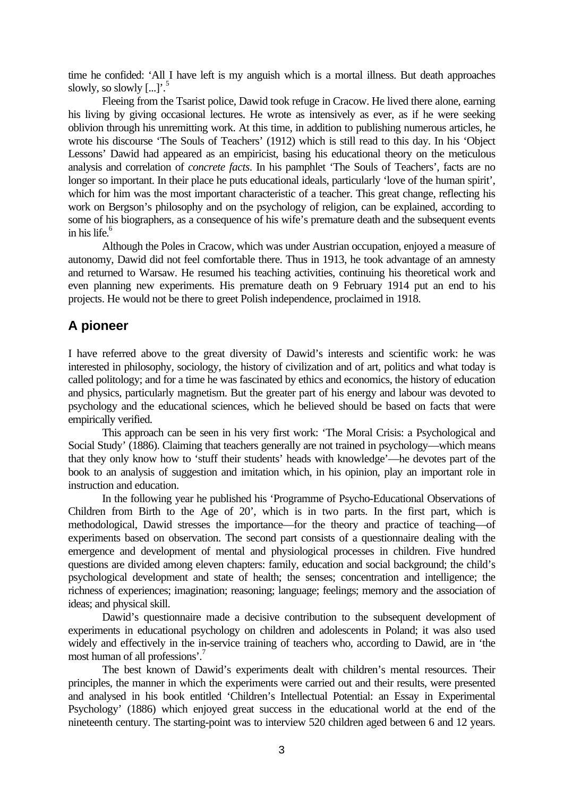time he confided: 'All I have left is my anguish which is a mortal illness. But death approaches slowly, so slowly [...]'. 5

Fleeing from the Tsarist police, Dawid took refuge in Cracow. He lived there alone, earning his living by giving occasional lectures. He wrote as intensively as ever, as if he were seeking oblivion through his unremitting work. At this time, in addition to publishing numerous articles, he wrote his discourse 'The Souls of Teachers' (1912) which is still read to this day. In his 'Object Lessons' Dawid had appeared as an empiricist, basing his educational theory on the meticulous analysis and correlation of *concrete facts*. In his pamphlet 'The Souls of Teachers', facts are no longer so important. In their place he puts educational ideals, particularly 'love of the human spirit', which for him was the most important characteristic of a teacher. This great change, reflecting his work on Bergson's philosophy and on the psychology of religion, can be explained, according to some of his biographers, as a consequence of his wife's premature death and the subsequent events in his life.<sup>6</sup>

Although the Poles in Cracow, which was under Austrian occupation, enjoyed a measure of autonomy, Dawid did not feel comfortable there. Thus in 1913, he took advantage of an amnesty and returned to Warsaw. He resumed his teaching activities, continuing his theoretical work and even planning new experiments. His premature death on 9 February 1914 put an end to his projects. He would not be there to greet Polish independence, proclaimed in 1918.

## **A pioneer**

I have referred above to the great diversity of Dawid's interests and scientific work: he was interested in philosophy, sociology, the history of civilization and of art, politics and what today is called politology; and for a time he was fascinated by ethics and economics, the history of education and physics, particularly magnetism. But the greater part of his energy and labour was devoted to psychology and the educational sciences, which he believed should be based on facts that were empirically verified.

This approach can be seen in his very first work: 'The Moral Crisis: a Psychological and Social Study' (1886). Claiming that teachers generally are not trained in psychology—which means that they only know how to 'stuff their students' heads with knowledge'—he devotes part of the book to an analysis of suggestion and imitation which, in his opinion, play an important role in instruction and education.

In the following year he published his 'Programme of Psycho-Educational Observations of Children from Birth to the Age of 20', which is in two parts. In the first part, which is methodological, Dawid stresses the importance—for the theory and practice of teaching—of experiments based on observation. The second part consists of a questionnaire dealing with the emergence and development of mental and physiological processes in children. Five hundred questions are divided among eleven chapters: family, education and social background; the child's psychological development and state of health; the senses; concentration and intelligence; the richness of experiences; imagination; reasoning; language; feelings; memory and the association of ideas; and physical skill.

Dawid's questionnaire made a decisive contribution to the subsequent development of experiments in educational psychology on children and adolescents in Poland; it was also used widely and effectively in the in-service training of teachers who, according to Dawid, are in 'the most human of all professions'. 7

The best known of Dawid's experiments dealt with children's mental resources. Their principles, the manner in which the experiments were carried out and their results, were presented and analysed in his book entitled 'Children's Intellectual Potential: an Essay in Experimental Psychology' (1886) which enjoyed great success in the educational world at the end of the nineteenth century. The starting-point was to interview 520 children aged between 6 and 12 years.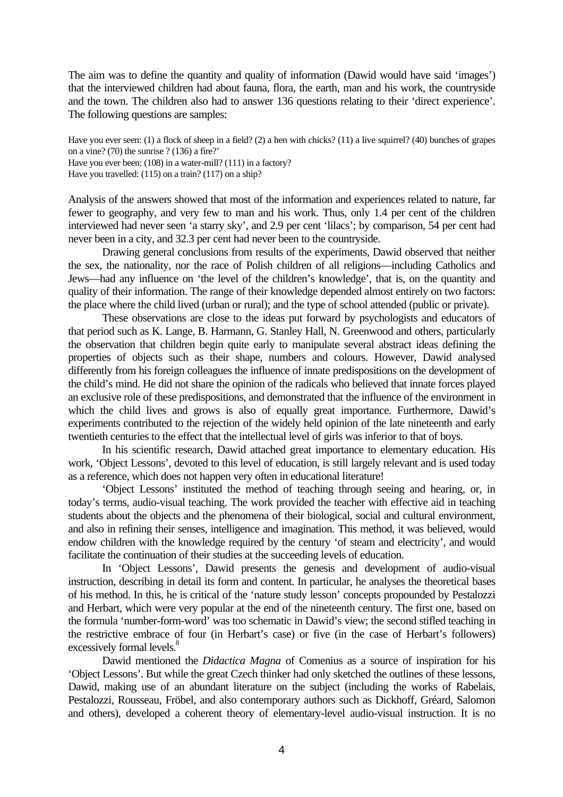The aim was to define the quantity and quality of information (Dawid would have said 'images') that the interviewed children had about fauna, flora, the earth, man and his work, the countryside and the town. The children also had to answer 136 questions relating to their 'direct experience'. The following questions are samples:

Have you ever seen: (1) a flock of sheep in a field? (2) a hen with chicks? (11) a live squirrel? (40) bunches of grapes on a vine? (70) the sunrise ? (136) a fire?'

Have you ever been: (108) in a water-mill? (111) in a factory?

Have you travelled: (115) on a train? (117) on a ship?

Analysis of the answers showed that most of the information and experiences related to nature, far fewer to geography, and very few to man and his work. Thus, only 1.4 per cent of the children interviewed had never seen 'a starry sky', and 2.9 per cent 'lilacs'; by comparison, 54 per cent had never been in a city, and 32.3 per cent had never been to the countryside.

Drawing general conclusions from results of the experiments, Dawid observed that neither the sex, the nationality, nor the race of Polish children of all religions—including Catholics and Jews—had any influence on 'the level of the children's knowledge', that is, on the quantity and quality of their information. The range of their knowledge depended almost entirely on two factors: the place where the child lived (urban or rural); and the type of school attended (public or private).

These observations are close to the ideas put forward by psychologists and educators of that period such as K. Lange, B. Harmann, G. Stanley Hall, N. Greenwood and others, particularly the observation that children begin quite early to manipulate several abstract ideas defining the properties of objects such as their shape, numbers and colours. However, Dawid analysed differently from his foreign colleagues the influence of innate predispositions on the development of the child's mind. He did not share the opinion of the radicals who believed that innate forces played an exclusive role of these predispositions, and demonstrated that the influence of the environment in which the child lives and grows is also of equally great importance. Furthermore, Dawid's experiments contributed to the rejection of the widely held opinion of the late nineteenth and early twentieth centuries to the effect that the intellectual level of girls was inferior to that of boys.

In his scientific research, Dawid attached great importance to elementary education. His work, 'Object Lessons', devoted to this level of education, is still largely relevant and is used today as a reference, which does not happen very often in educational literature!

'Object Lessons' instituted the method of teaching through seeing and hearing, or, in today's terms, audio-visual teaching. The work provided the teacher with effective aid in teaching students about the objects and the phenomena of their biological, social and cultural environment, and also in refining their senses, intelligence and imagination. This method, it was believed, would endow children with the knowledge required by the century 'of steam and electricity', and would facilitate the continuation of their studies at the succeeding levels of education.

In 'Object Lessons', Dawid presents the genesis and development of audio-visual instruction, describing in detail its form and content. In particular, he analyses the theoretical bases of his method. In this, he is critical of the 'nature study lesson' concepts propounded by Pestalozzi and Herbart, which were very popular at the end of the nineteenth century. The first one, based on the formula 'number-form-word' was too schematic in Dawid's view; the second stifled teaching in the restrictive embrace of four (in Herbart's case) or five (in the case of Herbart's followers) excessively formal levels.<sup>8</sup>

Dawid mentioned the *Didactica Magna* of Comenius as a source of inspiration for his 'Object Lessons'. But while the great Czech thinker had only sketched the outlines of these lessons, Dawid, making use of an abundant literature on the subject (including the works of Rabelais, Pestalozzi, Rousseau, Fröbel, and also contemporary authors such as Dickhoff, Gréard, Salomon and others), developed a coherent theory of elementary-level audio-visual instruction. It is no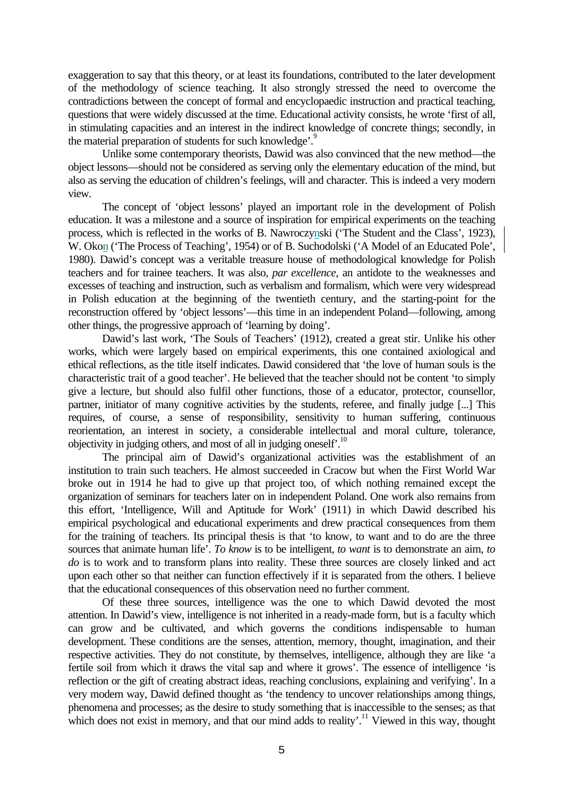exaggeration to say that this theory, or at least its foundations, contributed to the later development of the methodology of science teaching. It also strongly stressed the need to overcome the contradictions between the concept of formal and encyclopaedic instruction and practical teaching, questions that were widely discussed at the time. Educational activity consists, he wrote 'first of all, in stimulating capacities and an interest in the indirect knowledge of concrete things; secondly, in the material preparation of students for such knowledge'.<sup>9</sup>

Unlike some contemporary theorists, Dawid was also convinced that the new method—the object lessons—should not be considered as serving only the elementary education of the mind, but also as serving the education of children's feelings, will and character. This is indeed a very modern view.

The concept of 'object lessons' played an important role in the development of Polish education. It was a milestone and a source of inspiration for empirical experiments on the teaching process, which is reflected in the works of B. Nawroczynski ('The Student and the Class', 1923), W. Okon ('The Process of Teaching', 1954) or of B. Suchodolski ('A Model of an Educated Pole', 1980). Dawid's concept was a veritable treasure house of methodological knowledge for Polish teachers and for trainee teachers. It was also, *par excellence*, an antidote to the weaknesses and excesses of teaching and instruction, such as verbalism and formalism, which were very widespread in Polish education at the beginning of the twentieth century, and the starting-point for the reconstruction offered by 'object lessons'—this time in an independent Poland—following, among other things, the progressive approach of 'learning by doing'.

Dawid's last work, 'The Souls of Teachers' (1912), created a great stir. Unlike his other works, which were largely based on empirical experiments, this one contained axiological and ethical reflections, as the title itself indicates. Dawid considered that 'the love of human souls is the characteristic trait of a good teacher'. He believed that the teacher should not be content 'to simply give a lecture, but should also fulfil other functions, those of a educator, protector, counsellor, partner, initiator of many cognitive activities by the students, referee, and finally judge [...] This requires, of course, a sense of responsibility, sensitivity to human suffering, continuous reorientation, an interest in society, a considerable intellectual and moral culture, tolerance, objectivity in judging others, and most of all in judging oneself'.<sup>10</sup>

The principal aim of Dawid's organizational activities was the establishment of an institution to train such teachers. He almost succeeded in Cracow but when the First World War broke out in 1914 he had to give up that project too, of which nothing remained except the organization of seminars for teachers later on in independent Poland. One work also remains from this effort, 'Intelligence, Will and Aptitude for Work' (1911) in which Dawid described his empirical psychological and educational experiments and drew practical consequences from them for the training of teachers. Its principal thesis is that 'to know, to want and to do are the three sources that animate human life'. *To know* is to be intelligent, *to want* is to demonstrate an aim, *to do* is to work and to transform plans into reality. These three sources are closely linked and act upon each other so that neither can function effectively if it is separated from the others. I believe that the educational consequences of this observation need no further comment.

Of these three sources, intelligence was the one to which Dawid devoted the most attention. In Dawid's view, intelligence is not inherited in a ready-made form, but is a faculty which can grow and be cultivated, and which governs the conditions indispensable to human development. These conditions are the senses, attention, memory, thought, imagination, and their respective activities. They do not constitute, by themselves, intelligence, although they are like 'a fertile soil from which it draws the vital sap and where it grows'. The essence of intelligence 'is reflection or the gift of creating abstract ideas, reaching conclusions, explaining and verifying'. In a very modern way, Dawid defined thought as 'the tendency to uncover relationships among things, phenomena and processes; as the desire to study something that is inaccessible to the senses; as that which does not exist in memory, and that our mind adds to reality'.<sup>11</sup> Viewed in this way, thought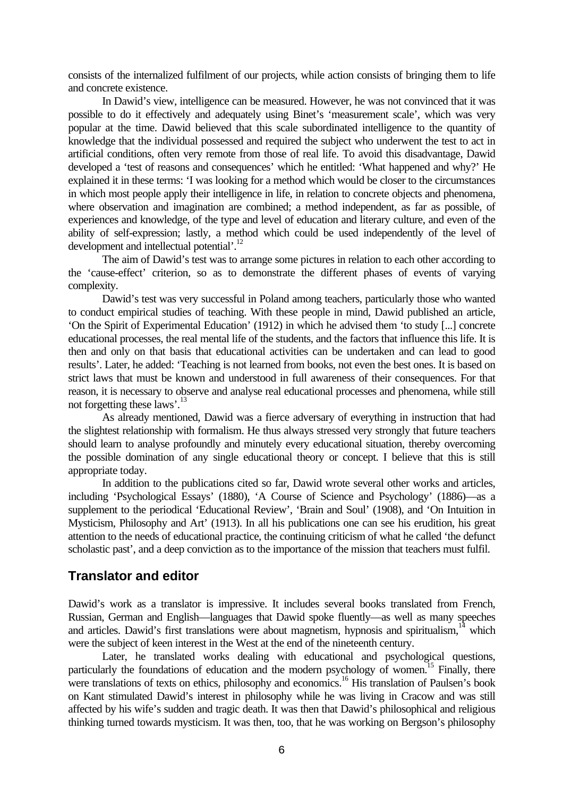consists of the internalized fulfilment of our projects, while action consists of bringing them to life and concrete existence.

In Dawid's view, intelligence can be measured. However, he was not convinced that it was possible to do it effectively and adequately using Binet's 'measurement scale', which was very popular at the time. Dawid believed that this scale subordinated intelligence to the quantity of knowledge that the individual possessed and required the subject who underwent the test to act in artificial conditions, often very remote from those of real life. To avoid this disadvantage, Dawid developed a 'test of reasons and consequences' which he entitled: 'What happened and why?' He explained it in these terms: 'I was looking for a method which would be closer to the circumstances in which most people apply their intelligence in life, in relation to concrete objects and phenomena, where observation and imagination are combined; a method independent, as far as possible, of experiences and knowledge, of the type and level of education and literary culture, and even of the ability of self-expression; lastly, a method which could be used independently of the level of development and intellectual potential'.<sup>12</sup>

The aim of Dawid's test was to arrange some pictures in relation to each other according to the 'cause-effect' criterion, so as to demonstrate the different phases of events of varying complexity.

Dawid's test was very successful in Poland among teachers, particularly those who wanted to conduct empirical studies of teaching. With these people in mind, Dawid published an article, 'On the Spirit of Experimental Education' (1912) in which he advised them 'to study [...] concrete educational processes, the real mental life of the students, and the factors that influence this life. It is then and only on that basis that educational activities can be undertaken and can lead to good results'. Later, he added: 'Teaching is not learned from books, not even the best ones. It is based on strict laws that must be known and understood in full awareness of their consequences. For that reason, it is necessary to observe and analyse real educational processes and phenomena, while still not forgetting these laws'.<sup>13</sup>

As already mentioned, Dawid was a fierce adversary of everything in instruction that had the slightest relationship with formalism. He thus always stressed very strongly that future teachers should learn to analyse profoundly and minutely every educational situation, thereby overcoming the possible domination of any single educational theory or concept. I believe that this is still appropriate today.

In addition to the publications cited so far, Dawid wrote several other works and articles, including 'Psychological Essays' (1880), 'A Course of Science and Psychology' (1886)—as a supplement to the periodical 'Educational Review', 'Brain and Soul' (1908), and 'On Intuition in Mysticism, Philosophy and Art' (1913). In all his publications one can see his erudition, his great attention to the needs of educational practice, the continuing criticism of what he called 'the defunct scholastic past', and a deep conviction as to the importance of the mission that teachers must fulfil.

#### **Translator and editor**

Dawid's work as a translator is impressive. It includes several books translated from French, Russian, German and English—languages that Dawid spoke fluently—as well as many speeches and articles. Dawid's first translations were about magnetism, hypnosis and spiritualism, <sup>14</sup> which were the subject of keen interest in the West at the end of the nineteenth century.

Later, he translated works dealing with educational and psychological questions, particularly the foundations of education and the modern psychology of women.<sup>15</sup> Finally, there were translations of texts on ethics, philosophy and economics.<sup>16</sup> His translation of Paulsen's book on Kant stimulated Dawid's interest in philosophy while he was living in Cracow and was still affected by his wife's sudden and tragic death. It was then that Dawid's philosophical and religious thinking turned towards mysticism. It was then, too, that he was working on Bergson's philosophy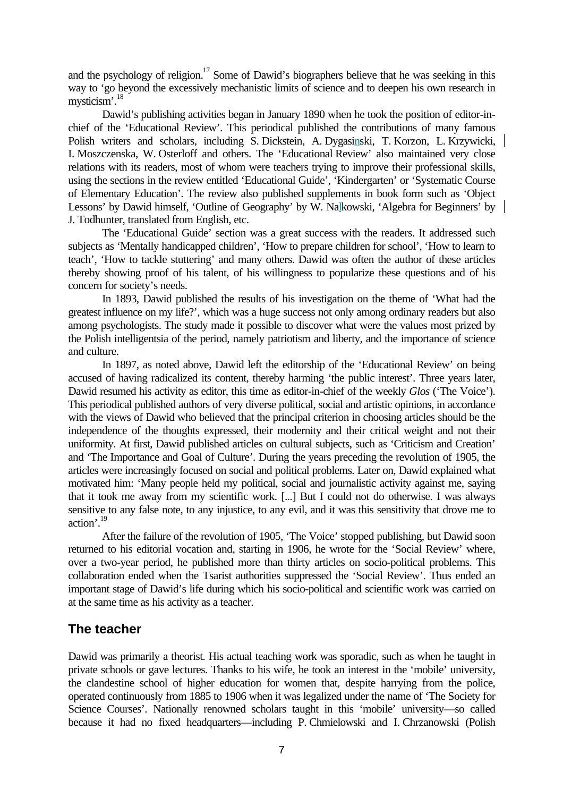and the psychology of religion.<sup>17</sup> Some of Dawid's biographers believe that he was seeking in this way to 'go beyond the excessively mechanistic limits of science and to deepen his own research in mysticism'. 18

Dawid's publishing activities began in January 1890 when he took the position of editor-inchief of the 'Educational Review'. This periodical published the contributions of many famous Polish writers and scholars, including S. Dickstein, A. Dygasinski, T. Korzon, L. Krzywicki, I. Moszczenska, W. Osterloff and others. The 'Educational Review' also maintained very close relations with its readers, most of whom were teachers trying to improve their professional skills, using the sections in the review entitled 'Educational Guide', 'Kindergarten' or 'Systematic Course of Elementary Education'. The review also published supplements in book form such as 'Object Lessons' by Dawid himself, 'Outline of Geography' by W. Nalkowski, 'Algebra for Beginners' by J. Todhunter, translated from English, etc.

The 'Educational Guide' section was a great success with the readers. It addressed such subjects as 'Mentally handicapped children', 'How to prepare children for school', 'How to learn to teach', 'How to tackle stuttering' and many others. Dawid was often the author of these articles thereby showing proof of his talent, of his willingness to popularize these questions and of his concern for society's needs.

In 1893, Dawid published the results of his investigation on the theme of 'What had the greatest influence on my life?', which was a huge success not only among ordinary readers but also among psychologists. The study made it possible to discover what were the values most prized by the Polish intelligentsia of the period, namely patriotism and liberty, and the importance of science and culture.

In 1897, as noted above, Dawid left the editorship of the 'Educational Review' on being accused of having radicalized its content, thereby harming 'the public interest'. Three years later, Dawid resumed his activity as editor, this time as editor-in-chief of the weekly *Glos* ('The Voice'). This periodical published authors of very diverse political, social and artistic opinions, in accordance with the views of Dawid who believed that the principal criterion in choosing articles should be the independence of the thoughts expressed, their modernity and their critical weight and not their uniformity. At first, Dawid published articles on cultural subjects, such as 'Criticism and Creation' and 'The Importance and Goal of Culture'. During the years preceding the revolution of 1905, the articles were increasingly focused on social and political problems. Later on, Dawid explained what motivated him: 'Many people held my political, social and journalistic activity against me, saying that it took me away from my scientific work. [...] But I could not do otherwise. I was always sensitive to any false note, to any injustice, to any evil, and it was this sensitivity that drove me to action'. 19

After the failure of the revolution of 1905, 'The Voice' stopped publishing, but Dawid soon returned to his editorial vocation and, starting in 1906, he wrote for the 'Social Review' where, over a two-year period, he published more than thirty articles on socio-political problems. This collaboration ended when the Tsarist authorities suppressed the 'Social Review'. Thus ended an important stage of Dawid's life during which his socio-political and scientific work was carried on at the same time as his activity as a teacher.

# **The teacher**

Dawid was primarily a theorist. His actual teaching work was sporadic, such as when he taught in private schools or gave lectures. Thanks to his wife, he took an interest in the 'mobile' university, the clandestine school of higher education for women that, despite harrying from the police, operated continuously from 1885 to 1906 when it was legalized under the name of 'The Society for Science Courses'. Nationally renowned scholars taught in this 'mobile' university—so called because it had no fixed headquarters—including P. Chmielowski and I. Chrzanowski (Polish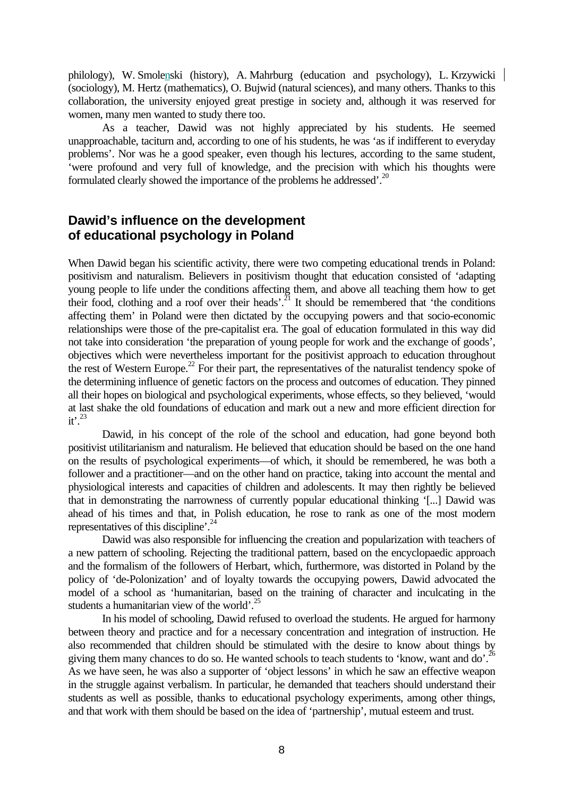philology), W. Smolenski (history), A. Mahrburg (education and psychology), L. Krzywicki (sociology), M. Hertz (mathematics), O. Bujwid (natural sciences), and many others. Thanks to this collaboration, the university enjoyed great prestige in society and, although it was reserved for women, many men wanted to study there too.

As a teacher, Dawid was not highly appreciated by his students. He seemed unapproachable, taciturn and, according to one of his students, he was 'as if indifferent to everyday problems'. Nor was he a good speaker, even though his lectures, according to the same student, 'were profound and very full of knowledge, and the precision with which his thoughts were formulated clearly showed the importance of the problems he addressed'.<sup>20</sup>

### **Dawid's influence on the development of educational psychology in Poland**

When Dawid began his scientific activity, there were two competing educational trends in Poland: positivism and naturalism. Believers in positivism thought that education consisted of 'adapting young people to life under the conditions affecting them, and above all teaching them how to get their food, clothing and a roof over their heads'.<sup>21</sup> It should be remembered that 'the conditions affecting them' in Poland were then dictated by the occupying powers and that socio-economic relationships were those of the pre-capitalist era. The goal of education formulated in this way did not take into consideration 'the preparation of young people for work and the exchange of goods', objectives which were nevertheless important for the positivist approach to education throughout the rest of Western Europe.<sup>22</sup> For their part, the representatives of the naturalist tendency spoke of the determining influence of genetic factors on the process and outcomes of education. They pinned all their hopes on biological and psychological experiments, whose effects, so they believed, 'would at last shake the old foundations of education and mark out a new and more efficient direction for it'. 23

Dawid, in his concept of the role of the school and education, had gone beyond both positivist utilitarianism and naturalism. He believed that education should be based on the one hand on the results of psychological experiments—of which, it should be remembered, he was both a follower and a practitioner—and on the other hand on practice, taking into account the mental and physiological interests and capacities of children and adolescents. It may then rightly be believed that in demonstrating the narrowness of currently popular educational thinking '[...] Dawid was ahead of his times and that, in Polish education, he rose to rank as one of the most modern representatives of this discipline'.<sup>24</sup>

Dawid was also responsible for influencing the creation and popularization with teachers of a new pattern of schooling. Rejecting the traditional pattern, based on the encyclopaedic approach and the formalism of the followers of Herbart, which, furthermore, was distorted in Poland by the policy of 'de-Polonization' and of loyalty towards the occupying powers, Dawid advocated the model of a school as 'humanitarian, based on the training of character and inculcating in the students a humanitarian view of the world'.<sup>25</sup>

In his model of schooling, Dawid refused to overload the students. He argued for harmony between theory and practice and for a necessary concentration and integration of instruction. He also recommended that children should be stimulated with the desire to know about things by giving them many chances to do so. He wanted schools to teach students to 'know, want and do'.<sup>26</sup> As we have seen, he was also a supporter of 'object lessons' in which he saw an effective weapon in the struggle against verbalism. In particular, he demanded that teachers should understand their students as well as possible, thanks to educational psychology experiments, among other things, and that work with them should be based on the idea of 'partnership', mutual esteem and trust.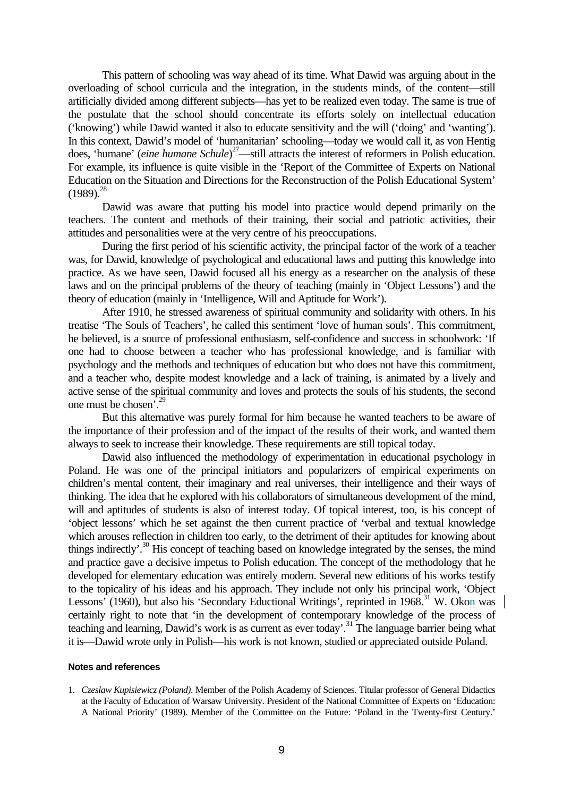This pattern of schooling was way ahead of its time. What Dawid was arguing about in the overloading of school curricula and the integration, in the students minds, of the content—still artificially divided among different subjects—has yet to be realized even today. The same is true of the postulate that the school should concentrate its efforts solely on intellectual education ('knowing') while Dawid wanted it also to educate sensitivity and the will ('doing' and 'wanting'). In this context, Dawid's model of 'humanitarian' schooling—today we would call it, as von Hentig does, 'humane' (*eine humane Schule*) <sup>27</sup>—still attracts the interest of reformers in Polish education. For example, its influence is quite visible in the 'Report of the Committee of Experts on National Education on the Situation and Directions for the Reconstruction of the Polish Educational System'  $(1989).^{28}$ 

Dawid was aware that putting his model into practice would depend primarily on the teachers. The content and methods of their training, their social and patriotic activities, their attitudes and personalities were at the very centre of his preoccupations.

During the first period of his scientific activity, the principal factor of the work of a teacher was, for Dawid, knowledge of psychological and educational laws and putting this knowledge into practice. As we have seen, Dawid focused all his energy as a researcher on the analysis of these laws and on the principal problems of the theory of teaching (mainly in 'Object Lessons') and the theory of education (mainly in 'Intelligence, Will and Aptitude for Work').

After 1910, he stressed awareness of spiritual community and solidarity with others. In his treatise 'The Souls of Teachers', he called this sentiment 'love of human souls'. This commitment, he believed, is a source of professional enthusiasm, self-confidence and success in schoolwork: 'If one had to choose between a teacher who has professional knowledge, and is familiar with psychology and the methods and techniques of education but who does not have this commitment, and a teacher who, despite modest knowledge and a lack of training, is animated by a lively and active sense of the spiritual community and loves and protects the souls of his students, the second one must be chosen'.<sup>29</sup>

But this alternative was purely formal for him because he wanted teachers to be aware of the importance of their profession and of the impact of the results of their work, and wanted them always to seek to increase their knowledge. These requirements are still topical today.

Dawid also influenced the methodology of experimentation in educational psychology in Poland. He was one of the principal initiators and popularizers of empirical experiments on children's mental content, their imaginary and real universes, their intelligence and their ways of thinking. The idea that he explored with his collaborators of simultaneous development of the mind, will and aptitudes of students is also of interest today. Of topical interest, too, is his concept of 'object lessons' which he set against the then current practice of 'verbal and textual knowledge which arouses reflection in children too early, to the detriment of their aptitudes for knowing about things indirectly'.<sup>30</sup> His concept of teaching based on knowledge integrated by the senses, the mind and practice gave a decisive impetus to Polish education. The concept of the methodology that he developed for elementary education was entirely modern. Several new editions of his works testify to the topicality of his ideas and his approach. They include not only his principal work, 'Object Lessons' (1960), but also his 'Secondary Eductional Writings', reprinted in  $1968$ <sup>31</sup> W. Okon was certainly right to note that 'in the development of contemporary knowledge of the process of teaching and learning, Dawid's work is as current as ever today'.<sup>31</sup> The language barrier being what it is—Dawid wrote only in Polish—his work is not known, studied or appreciated outside Poland.

#### **Notes and references**

1. *Czeslaw Kupisiewicz (Poland)*. Member of the Polish Academy of Sciences. Titular professor of General Didactics at the Faculty of Education of Warsaw University. President of the National Committee of Experts on 'Education: A National Priority' (1989). Member of the Committee on the Future: 'Poland in the Twenty-first Century.'